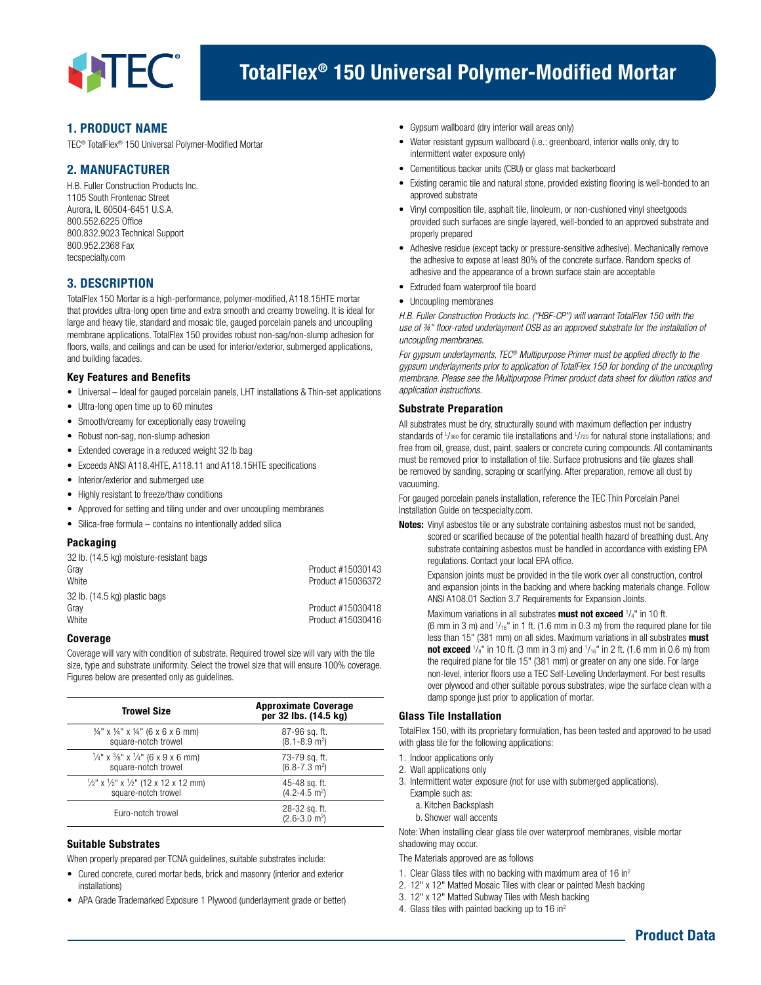

# 1. PRODUCT NAME

TEC® TotalFlex® 150 Universal Polymer-Modified Mortar

# 2. MANUFACTURER

H.B. Fuller Construction Products Inc. 1105 South Frontenac Street Aurora, IL 60504-6451 U.S.A. 800.552.6225 Office 800.832.9023 Technical Support 800.952.2368 Fax tecspecialty.com

# 3. DESCRIPTION

TotalFlex 150 Mortar is a high-performance, polymer-modified, A118.15HTE mortar that provides ultra-long open time and extra smooth and creamy troweling. It is ideal for large and heavy tile, standard and mosaic tile, gauged porcelain panels and uncoupling membrane applications. TotalFlex 150 provides robust non-sag/non-slump adhesion for floors, walls, and ceilings and can be used for interior/exterior, submerged applications, and building facades.

#### Key Features and Benefits

- Universal Ideal for gauged porcelain panels, LHT installations & Thin-set applications
- Ultra-long open time up to 60 minutes
- Smooth/creamy for exceptionally easy troweling
- Robust non-sag, non-slump adhesion
- Extended coverage in a reduced weight 32 lb bag
- Exceeds ANSI A118.4HTE, A118.11 and A118.15HTE specifications
- Interior/exterior and submerged use
- Highly resistant to freeze/thaw conditions
- Approved for setting and tiling under and over uncoupling membranes
- Silica-free formula contains no intentionally added silica

#### Packaging

| 32 lb. (14.5 kg) moisture-resistant bags |                   |
|------------------------------------------|-------------------|
| Grav                                     | Product #15030143 |
| White                                    | Product #15036372 |
| 32 lb. (14.5 kg) plastic bags            |                   |
| Grav                                     | Product #15030418 |
| White                                    | Product #15030416 |

#### Coverage

Coverage will vary with condition of substrate. Required trowel size will vary with the tile size, type and substrate uniformity. Select the trowel size that will ensure 100% coverage. Figures below are presented only as guidelines.

| <b>Trowel Size</b>                                                    | <b>Approximate Coverage</b><br>per 32 lbs. (14.5 kg) |
|-----------------------------------------------------------------------|------------------------------------------------------|
| $\frac{1}{4}$ " x $\frac{1}{4}$ " x $\frac{1}{4}$ " (6 x 6 x 6 mm)    | 87-96 sq. ft.                                        |
| square-notch trowel                                                   | $(8.1 - 8.9)$ m <sup>2</sup> )                       |
| $\frac{1}{4}$ " x $\frac{3}{8}$ " x $\frac{1}{4}$ " (6 x 9 x 6 mm)    | 73-79 sq. ft.                                        |
| square-notch trowel                                                   | $(6.8 - 7.3)$ m <sup>2</sup> )                       |
| $\frac{1}{2}$ " x $\frac{1}{2}$ " x $\frac{1}{2}$ " (12 x 12 x 12 mm) | 45-48 sq. ft.                                        |
| square-notch trowel                                                   | $(4.2 - 4.5)$ m <sup>2</sup> )                       |
| Euro-notch trowel                                                     | 28-32 sq. ft.<br>$(2.6 - 3.0)$ m <sup>2</sup> )      |

#### Suitable Substrates

When properly prepared per TCNA guidelines, suitable substrates include:

- Cured concrete, cured mortar beds, brick and masonry (interior and exterior installations)
- APA Grade Trademarked Exposure 1 Plywood (underlayment grade or better)
- Gypsum wallboard (dry interior wall areas only)
- Water resistant gypsum wallboard (i.e.: greenboard, interior walls only, dry to intermittent water exposure only)
- Cementitious backer units (CBU) or glass mat backerboard
- Existing ceramic tile and natural stone, provided existing flooring is well-bonded to an approved substrate
- Vinyl composition tile, asphalt tile, linoleum, or non-cushioned vinyl sheetgoods provided such surfaces are single layered, well-bonded to an approved substrate and properly prepared
- Adhesive residue (except tacky or pressure-sensitive adhesive). Mechanically remove the adhesive to expose at least 80% of the concrete surface. Random specks of adhesive and the appearance of a brown surface stain are acceptable
- Extruded foam waterproof tile board
- Uncoupling membranes

*H.B. Fuller Construction Products Inc. ("HBF-CP") will warrant TotalFlex 150 with the use of ¾" floor-rated underlayment OSB as an approved substrate for the installation of uncoupling membranes.*

*For gypsum underlayments, TEC® Multipurpose Primer must be applied directly to the gypsum underlayments prior to application of TotalFlex 150 for bonding of the uncoupling membrane. Please see the Multipurpose Primer product data sheet for dilution ratios and application instructions.*

#### Substrate Preparation

All substrates must be dry, structurally sound with maximum deflection per industry standards of L/360 for ceramic tile installations and L/720 for natural stone installations; and free from oil, grease, dust, paint, sealers or concrete curing compounds. All contaminants must be removed prior to installation of tile. Surface protrusions and tile glazes shall be removed by sanding, scraping or scarifying. After preparation, remove all dust by vacuuming.

For gauged porcelain panels installation, reference the TEC Thin Porcelain Panel Installation Guide on tecspecialty.com.

Notes: Vinyl asbestos tile or any substrate containing asbestos must not be sanded, scored or scarified because of the potential health hazard of breathing dust. Any substrate containing asbestos must be handled in accordance with existing EPA regulations. Contact your local EPA office.

 Expansion joints must be provided in the tile work over all construction, control and expansion joints in the backing and where backing materials change. Follow ANSI A108.01 Section 3.7 Requirements for Expansion Joints.

Maximum variations in all substrates **must not exceed**  $1/4$ " in 10 ft. (6 mm in 3 m) and  $\frac{1}{16}$ " in 1 ft. (1.6 mm in 0.3 m) from the required plane for tile less than 15" (381 mm) on all sides. Maximum variations in all substrates must **not exceed**  $\frac{1}{s}$ " in 10 ft. (3 mm in 3 m) and  $\frac{1}{16}$ " in 2 ft. (1.6 mm in 0.6 m) from the required plane for tile 15" (381 mm) or greater on any one side. For large non-level, interior floors use a TEC Self-Leveling Underlayment. For best results over plywood and other suitable porous substrates, wipe the surface clean with a damp sponge just prior to application of mortar.

### Glass Tile Installation

TotalFlex 150, with its proprietary formulation, has been tested and approved to be used with glass tile for the following applications:

- 1. Indoor applications only
- 2. Wall applications only
- 3. Intermittent water exposure (not for use with submerged applications).
	- Example such as:
	- a. Kitchen Backsplash
	- b. Shower wall accents

Note: When installing clear glass tile over waterproof membranes, visible mortar shadowing may occur.

The Materials approved are as follows

- 1. Clear Glass tiles with no backing with maximum area of 16 in2
- 2. 12" x 12" Matted Mosaic Tiles with clear or painted Mesh backing
- 3. 12" x 12" Matted Subway Tiles with Mesh backing
- 4. Glass tiles with painted backing up to 16 in<sup>2</sup>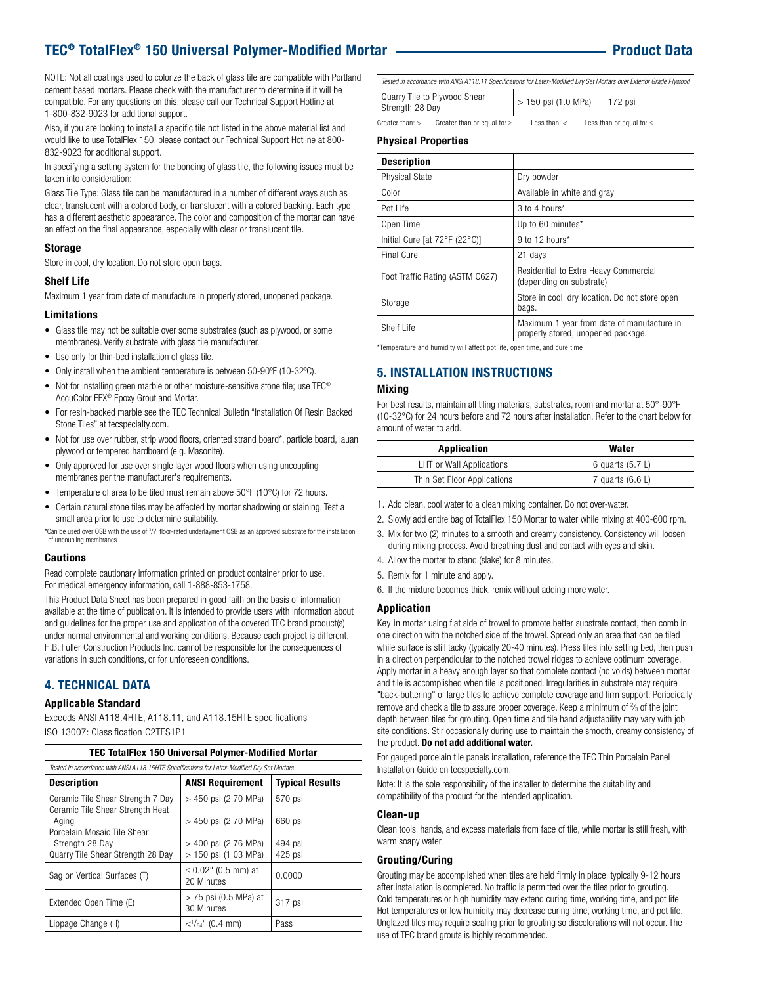# TEC® TotalFlex® 150 Universal Polymer-Modified Mortar Product Data

NOTE: Not all coatings used to colorize the back of glass tile are compatible with Portland cement based mortars. Please check with the manufacturer to determine if it will be compatible. For any questions on this, please call our Technical Support Hotline at 1-800-832-9023 for additional support.

Also, if you are looking to install a specific tile not listed in the above material list and would like to use TotalFlex 150, please contact our Technical Support Hotline at 800- 832-9023 for additional support.

In specifying a setting system for the bonding of glass tile, the following issues must be taken into consideration:

Glass Tile Type: Glass tile can be manufactured in a number of different ways such as clear, translucent with a colored body, or translucent with a colored backing. Each type has a different aesthetic appearance. The color and composition of the mortar can have an effect on the final appearance, especially with clear or translucent tile.

#### Storage

Store in cool, dry location. Do not store open bags.

#### Shelf Life

Maximum 1 year from date of manufacture in properly stored, unopened package.

#### Limitations

- Glass tile may not be suitable over some substrates (such as plywood, or some membranes). Verify substrate with glass tile manufacturer.
- Use only for thin-bed installation of glass tile.
- Only install when the ambient temperature is between 50-90ºF (10-32ºC).
- Not for installing green marble or other moisture-sensitive stone tile; use TEC® AccuColor EFX® Epoxy Grout and Mortar.
- For resin-backed marble see the TEC Technical Bulletin "Installation Of Resin Backed Stone Tiles" at tecspecialty.com.
- Not for use over rubber, strip wood floors, oriented strand board\*, particle board, lauan plywood or tempered hardboard (e.g. Masonite).
- Only approved for use over single layer wood floors when using uncoupling membranes per the manufacturer's requirements.
- Temperature of area to be tiled must remain above 50°F (10°C) for 72 hours.
- Certain natural stone tiles may be affected by mortar shadowing or staining. Test a small area prior to use to determine suitability.

\*Can be used over OSB with the use of 3 /4" floor-rated underlayment OSB as an approved substrate for the installation of uncoupling membranes

#### **Cautions**

Read complete cautionary information printed on product container prior to use. For medical emergency information, call 1-888-853-1758.

This Product Data Sheet has been prepared in good faith on the basis of information available at the time of publication. It is intended to provide users with information about and guidelines for the proper use and application of the covered TEC brand product(s) under normal environmental and working conditions. Because each project is different, H.B. Fuller Construction Products Inc. cannot be responsible for the consequences of variations in such conditions, or for unforeseen conditions.

# 4. TECHNICAL DATA

#### Applicable Standard

Exceeds ANSI A118.4HTE, A118.11, and A118.15HTE specifications ISO 13007: Classification C2TES1P1

| <b>TEC TotalFlex 150 Universal Polymer-Modified Mortar</b>                                  |                                        |                        |  |
|---------------------------------------------------------------------------------------------|----------------------------------------|------------------------|--|
| Tested in accordance with ANSI A118.15HTE Specifications for Latex-Modified Dry Set Mortars |                                        |                        |  |
| <b>Description</b>                                                                          | <b>ANSI Requirement</b>                | <b>Typical Results</b> |  |
| Ceramic Tile Shear Strength 7 Day<br>Ceramic Tile Shear Strength Heat                       | > 450 psi (2.70 MPa)                   | 570 psi                |  |
| Aging<br>Porcelain Mosaic Tile Shear                                                        | > 450 psi (2.70 MPa)                   | 660 psi                |  |
| Strength 28 Day                                                                             | > 400 psi (2.76 MPa)                   | 494 psi                |  |
| Quarry Tile Shear Strength 28 Day                                                           | > 150 psi (1.03 MPa)                   | 425 psi                |  |
| Sag on Vertical Surfaces (T)                                                                | $\leq$ 0.02" (0.5 mm) at<br>20 Minutes | 0.0000                 |  |
| Extended Open Time (E)                                                                      | $>$ 75 psi (0.5 MPa) at<br>30 Minutes  | 317 psi                |  |
| Lippage Change (H)                                                                          | $\langle$ $\frac{1}{64}$ " (0.4 mm)    | Pass                   |  |

| Tested in accordance with ANSIA118.11 Specifications for Latex-Modified Dry Set Mortars over Exterior Grade Plywood |                       |           |  |
|---------------------------------------------------------------------------------------------------------------------|-----------------------|-----------|--|
| Quarry Tile to Plywood Shear<br>Strength 28 Day                                                                     | $> 150$ psi (1.0 MPa) | $172$ psi |  |

Greater than: > Greater than or equal to:  $\ge$  Less than: < Less than or equal to:  $\le$ 

#### Physical Properties

| <b>Description</b>              |                                                                                  |
|---------------------------------|----------------------------------------------------------------------------------|
| <b>Physical State</b>           | Dry powder                                                                       |
| Color                           | Available in white and gray                                                      |
| Pot Life                        | 3 to 4 hours*                                                                    |
| Open Time                       | Up to 60 minutes*                                                                |
| Initial Cure [at 72°F (22°C)]   | $9$ to 12 hours*                                                                 |
| Final Cure                      | 21 days                                                                          |
| Foot Traffic Rating (ASTM C627) | Residential to Extra Heavy Commercial<br>(depending on substrate)                |
| Storage                         | Store in cool, dry location. Do not store open<br>bags.                          |
| Shelf Life                      | Maximum 1 year from date of manufacture in<br>properly stored, unopened package. |

\*Temperature and humidity will affect pot life, open time, and cure time

# 5. INSTALLATION INSTRUCTIONS

#### Mixing

 $\overline{\phantom{a}}$ 

For best results, maintain all tiling materials, substrates, room and mortar at 50°-90°F (10-32°C) for 24 hours before and 72 hours after installation. Refer to the chart below for amount of water to add.

| Application                 | Water              |
|-----------------------------|--------------------|
| LHT or Wall Applications    | 6 quarts $(5.7 L)$ |
| Thin Set Floor Applications | 7 quarts $(6.6 L)$ |

- 1. Add clean, cool water to a clean mixing container. Do not over-water.
- 2. Slowly add entire bag of TotalFlex 150 Mortar to water while mixing at 400-600 rpm.
- 3. Mix for two (2) minutes to a smooth and creamy consistency. Consistency will loosen during mixing process. Avoid breathing dust and contact with eyes and skin.
- 4. Allow the mortar to stand (slake) for 8 minutes.
- 5. Remix for 1 minute and apply.
- 6. If the mixture becomes thick, remix without adding more water.

#### Application

Key in mortar using flat side of trowel to promote better substrate contact, then comb in one direction with the notched side of the trowel. Spread only an area that can be tiled while surface is still tacky (typically 20-40 minutes). Press tiles into setting bed, then push in a direction perpendicular to the notched trowel ridges to achieve optimum coverage. Apply mortar in a heavy enough layer so that complete contact (no voids) between mortar and tile is accomplished when tile is positioned. Irregularities in substrate may require "back-buttering" of large tiles to achieve complete coverage and firm support. Periodically remove and check a tile to assure proper coverage. Keep a minimum of  $\frac{2}{3}$  of the joint depth between tiles for grouting. Open time and tile hand adjustability may vary with job site conditions. Stir occasionally during use to maintain the smooth, creamy consistency of the product. Do not add additional water.

For gauged porcelain tile panels installation, reference the TEC Thin Porcelain Panel Installation Guide on tecspecialty.com.

Note: It is the sole responsibility of the installer to determine the suitability and compatibility of the product for the intended application.

#### Clean-up

Clean tools, hands, and excess materials from face of tile, while mortar is still fresh, with warm soapy water.

#### Grouting/Curing

Grouting may be accomplished when tiles are held firmly in place, typically 9-12 hours after installation is completed. No traffic is permitted over the tiles prior to grouting. Cold temperatures or high humidity may extend curing time, working time, and pot life. Hot temperatures or low humidity may decrease curing time, working time, and pot life. Unglazed tiles may require sealing prior to grouting so discolorations will not occur. The use of TEC brand grouts is highly recommended.